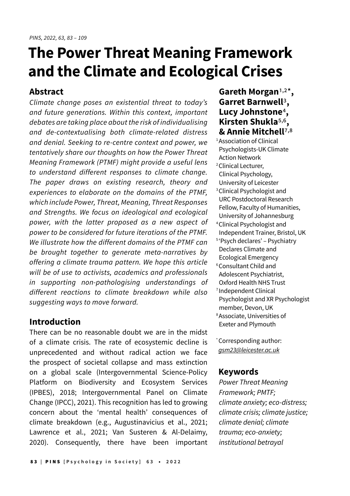# **The Power Threat Meaning Framework and the Climate and Ecological Crises**

# **Abstract**

Climate change poses an existential threat to today's and future generations. Within this context, important debates are taking place about the risk of individualising and de-contextualising both climate-related distress and denial. Seeking to re-centre context and power, we tentatively share our thoughts on how the Power Threat Meaning Framework (PTMF) might provide a useful lens to understand different responses to climate change. The paper draws on existing research, theory and experiences to elaborate on the domains of the PTMF, which include Power, Threat, Meaning, Threat Responses and Strengths. We focus on ideological and ecological power, with the latter proposed as a new aspect of power to be considered for future iterations of the PTMF. We illustrate how the different domains of the PTMF can be brought together to generate meta-narratives by offering a climate trauma pattern. We hope this article will be of use to activists, academics and professionals in supporting non-pathologising understandings of different reactions to climate breakdown while also suggesting ways to move forward.

# **Introduction**

There can be no reasonable doubt we are in the midst of a climate crisis. The rate of ecosystemic decline is unprecedented and without radical action we face the prospect of societal collapse and mass extinction on a global scale (Intergovernmental Science-Policy Platform on Biodiversity and Ecosystem Services (IPBES), 2018; Intergovernmental Panel on Climate Change (IPCC), 2021). This recognition has led to growing concern about the 'mental health' consequences of climate breakdown (e.g., Augustinavicius et al., 2021; Lawrence et al., 2021; Van Susteren & Al-Delaimy, 2020). Consequently, there have been important

# **Gareth Morgan**1,2\***, Garret Barnwell**3**, Lucy Johnstone**4**, Kirsten Shukla**5,6**, & Annie Mitchell**7,8

<sup>1</sup> Association of Clinical Psychologists-UK Climate Action Network <sup>2</sup> Clinical Lecturer, Clinical Psychology, University of Leicester 3 Clinical Psychologist and URC Postdoctoral Research Fellow, Faculty of Humanities, University of Johannesburg 4 Clinical Psychologist and Independent Trainer, Bristol, UK 5 'Psych declares' – Psychiatry Declares Climate and Ecological Emergency 6 Consultant Child and Adolescent Psychiatrist, Oxford Health NHS Trust 7 Independent Clinical Psychologist and XR Psychologist member, Devon, UK 8 Associate, Universities of

\* Corresponding author: gsm23@leicester.ac.uk

Exeter and Plymouth

## **Keywords**

Power Threat Meaning Framework; PMTF; climate anxiety; eco-distress; climate crisis; climate justice; climate denial; climate trauma; eco-anxiety; institutional betrayal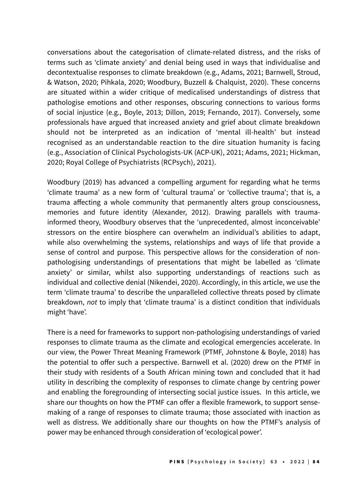conversations about the categorisation of climate-related distress, and the risks of terms such as 'climate anxiety' and denial being used in ways that individualise and decontextualise responses to climate breakdown (e.g., Adams, 2021; Barnwell, Stroud, & Watson, 2020; Pihkala, 2020; Woodbury, Buzzell & Chalquist, 2020). These concerns are situated within a wider critique of medicalised understandings of distress that pathologise emotions and other responses, obscuring connections to various forms of social injustice (e.g., Boyle, 2013; Dillon, 2019; Fernando, 2017). Conversely, some professionals have argued that increased anxiety and grief about climate breakdown should not be interpreted as an indication of 'mental ill-health' but instead recognised as an understandable reaction to the dire situation humanity is facing (e.g., Association of Clinical Psychologists-UK (ACP-UK), 2021; Adams, 2021; Hickman, 2020; Royal College of Psychiatrists (RCPsych), 2021).

Woodbury (2019) has advanced a compelling argument for regarding what he terms 'climate trauma' as a new form of 'cultural trauma' or 'collective trauma'; that is, a trauma affecting a whole community that permanently alters group consciousness, memories and future identity (Alexander, 2012). Drawing parallels with traumainformed theory, Woodbury observes that the 'unprecedented, almost inconceivable' stressors on the entire biosphere can overwhelm an individual's abilities to adapt, while also overwhelming the systems, relationships and ways of life that provide a sense of control and purpose. This perspective allows for the consideration of nonpathologising understandings of presentations that might be labelled as 'climate anxiety' or similar, whilst also supporting understandings of reactions such as individual and collective denial (Nikendei, 2020). Accordingly, in this article, we use the term 'climate trauma' to describe the unparalleled collective threats posed by climate breakdown, *not* to imply that 'climate trauma' is a distinct condition that individuals might 'have'.

There is a need for frameworks to support non-pathologising understandings of varied responses to climate trauma as the climate and ecological emergencies accelerate. In our view, the Power Threat Meaning Framework (PTMF, Johnstone & Boyle, 2018) has the potential to offer such a perspective. Barnwell et al. (2020) drew on the PTMF in their study with residents of a South African mining town and concluded that it had utility in describing the complexity of responses to climate change by centring power and enabling the foregrounding of intersecting social justice issues. In this article, we share our thoughts on how the PTMF can offer a flexible framework, to support sensemaking of a range of responses to climate trauma; those associated with inaction as well as distress. We additionally share our thoughts on how the PTMF's analysis of power may be enhanced through consideration of 'ecological power'.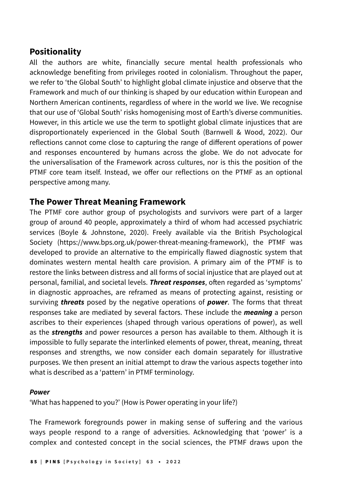# **Positionality**

All the authors are white, financially secure mental health professionals who acknowledge benefiting from privileges rooted in colonialism. Throughout the paper, we refer to 'the Global South' to highlight global climate injustice and observe that the Framework and much of our thinking is shaped by our education within European and Northern American continents, regardless of where in the world we live. We recognise that our use of 'Global South' risks homogenising most of Earth's diverse communities. However, in this article we use the term to spotlight global climate injustices that are disproportionately experienced in the Global South (Barnwell & Wood, 2022). Our reflections cannot come close to capturing the range of different operations of power and responses encountered by humans across the globe. We do not advocate for the universalisation of the Framework across cultures, nor is this the position of the PTMF core team itself. Instead, we offer our reflections on the PTMF as an optional perspective among many.

## **The Power Threat Meaning Framework**

The PTMF core author group of psychologists and survivors were part of a larger group of around 40 people, approximately a third of whom had accessed psychiatric services (Boyle & Johnstone, 2020). Freely available via the British Psychological Society (https://www.bps.org.uk/power-threat-meaning-framework), the PTMF was developed to provide an alternative to the empirically flawed diagnostic system that dominates western mental health care provision. A primary aim of the PTMF is to restore the links between distress and all forms of social injustice that are played out at personal, familial, and societal levels. *Threat responses*, often regarded as 'symptoms' in diagnostic approaches, are reframed as means of protecting against, resisting or surviving *threats* posed by the negative operations of *power*. The forms that threat responses take are mediated by several factors. These include the *meaning* a person ascribes to their experiences (shaped through various operations of power), as well as the *strengths* and power resources a person has available to them. Although it is impossible to fully separate the interlinked elements of power, threat, meaning, threat responses and strengths, we now consider each domain separately for illustrative purposes. We then present an initial attempt to draw the various aspects together into what is described as a 'pattern' in PTMF terminology.

#### *Power*

'What has happened to you?' (How is Power operating in your life?)

The Framework foregrounds power in making sense of suffering and the various ways people respond to a range of adversities. Acknowledging that 'power' is a complex and contested concept in the social sciences, the PTMF draws upon the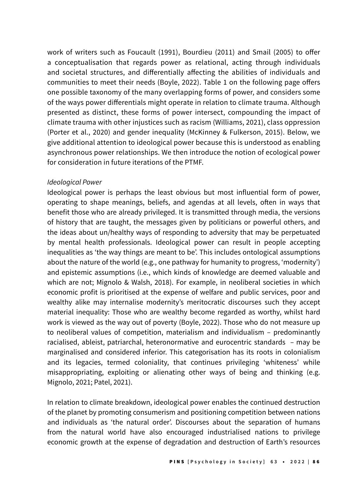work of writers such as Foucault (1991), Bourdieu (2011) and Smail (2005) to offer a conceptualisation that regards power as relational, acting through individuals and societal structures, and differentially affecting the abilities of individuals and communities to meet their needs (Boyle, 2022). Table 1 on the following page offers one possible taxonomy of the many overlapping forms of power, and considers some of the ways power differentials might operate in relation to climate trauma. Although presented as distinct, these forms of power intersect, compounding the impact of climate trauma with other injustices such as racism (Williams, 2021), class oppression (Porter et al., 2020) and gender inequality (McKinney & Fulkerson, 2015). Below, we give additional attention to ideological power because this is understood as enabling asynchronous power relationships. We then introduce the notion of ecological power for consideration in future iterations of the PTMF.

#### Ideological Power

Ideological power is perhaps the least obvious but most influential form of power, operating to shape meanings, beliefs, and agendas at all levels, often in ways that benefit those who are already privileged. It is transmitted through media, the versions of history that are taught, the messages given by politicians or powerful others, and the ideas about un/healthy ways of responding to adversity that may be perpetuated by mental health professionals. Ideological power can result in people accepting inequalities as 'the way things are meant to be'. This includes ontological assumptions about the nature of the world (e.g., one pathway for humanity to progress, 'modernity') and epistemic assumptions (i.e., which kinds of knowledge are deemed valuable and which are not; Mignolo & Walsh, 2018). For example, in neoliberal societies in which economic profit is prioritised at the expense of welfare and public services, poor and wealthy alike may internalise modernity's meritocratic discourses such they accept material inequality: Those who are wealthy become regarded as worthy, whilst hard work is viewed as the way out of poverty (Boyle, 2022). Those who do not measure up to neoliberal values of competition, materialism and individualism – predominantly racialised, ableist, patriarchal, heteronormative and eurocentric standards – may be marginalised and considered inferior. This categorisation has its roots in colonialism and its legacies, termed coloniality, that continues privileging 'whiteness' while misappropriating, exploiting or alienating other ways of being and thinking (e.g. Mignolo, 2021; Patel, 2021).

In relation to climate breakdown, ideological power enables the continued destruction of the planet by promoting consumerism and positioning competition between nations and individuals as 'the natural order'. Discourses about the separation of humans from the natural world have also encouraged industrialised nations to privilege economic growth at the expense of degradation and destruction of Earth's resources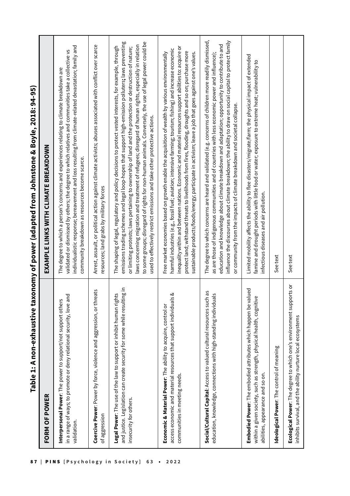| しく こくこてく |
|----------|
|          |
|          |
|          |
|          |
|          |
|          |
|          |
|          |
|          |
|          |
| <br>     |
|          |
|          |
|          |
|          |
|          |
|          |
|          |
|          |
|          |
|          |
|          |
|          |
|          |
|          |
|          |
|          |
|          |
|          |
|          |
|          |
|          |
|          |
|          |
|          |
|          |
|          |
|          |
|          |
|          |
|          |
|          |
|          |
|          |
|          |
|          |
|          |
|          |
|          |
|          |
|          |
|          |
|          |
|          |
|          |
|          |
|          |
|          |
|          |
|          |
|          |
|          |
|          |
|          |
|          |
|          |
|          |
|          |
|          |
|          |
|          |
|          |
|          |
|          |
|          |
|          |
|          |
|          |
|          |
|          |
|          |
|          |
|          |
|          |
|          |
|          |
|          |
|          |
|          |
|          |
|          |
|          |
|          |
|          |
|          |
|          |
|          |
|          |
|          |
|          |
|          |
|          |
|          |
|          |
|          |
|          |
|          |
|          |
|          |
|          |
| i        |
|          |
|          |
|          |
|          |
|          |
|          |
|          |
|          |
|          |
|          |
|          |
|          |

| FORM OF POWER                                                                                                                                                              | EXAMPLE LINKS WITH CLIMATE BREAKDOWN                                                                                                                                                                                                                                                                                                                                                                                                                                                                                                                                                                                        |
|----------------------------------------------------------------------------------------------------------------------------------------------------------------------------|-----------------------------------------------------------------------------------------------------------------------------------------------------------------------------------------------------------------------------------------------------------------------------------------------------------------------------------------------------------------------------------------------------------------------------------------------------------------------------------------------------------------------------------------------------------------------------------------------------------------------------|
| in a range of ways; to promote or deny relational security, love and<br>Interpersonal Power: The power to support/not support others<br>validation                         | individualistic response; bereavement and loss resulting from climate-related devastation; family and<br>validated or dismissed by others; the degree to which relatives and communities take a collective vs<br>The degree to which a person's concerns and experiences relating to climate breakdown are<br>community breakdown as resources become scarce.                                                                                                                                                                                                                                                               |
| Coercive Power: Power by force, violence and aggression, or threats<br>of aggression                                                                                       | Arrest, assault, or political action against climate activists; abuses associated with conflict over scarce<br>resources; land grabs by military forces                                                                                                                                                                                                                                                                                                                                                                                                                                                                     |
| and justice. Legislation can create security for some while resulting in<br>Legal Power: The use of the law to support or inhibit human rights<br>insecurity for others.   | to some groups; disregard of rights for non-human animals. Conversely, the use of legal power could be<br>emissions trading schemes and legal loop-hopes that support high-emission polluters; laws preventing<br>laws concerning migration and treatment of refugees; disregard of human rights, especially in relation<br>The shaping of legal, regulatory and policy decisions to protect vested interests, for example, through<br>or limiting protests; laws pertaining to ownership of land and the protection or destruction of nature;<br>used to effectively restrict emissions and take other protective actions. |
| access economic and material resources that support individuals &<br>Economic & Material Power: The ability to acquire, control or<br>communities in meeting needs.        | inequality within and between nations. Economic and material resources support abilities to: acquire or<br>harmful industries (e.g., fossil fuel; aviation; intensive farming; tourism; fishing) and increase economic<br>protect land; withstand threats to livelihoods from fires, flooding, droughts and so on; purchase more<br>Free market economies based on growth enable the acquisition of wealth by various environmentally<br>sustainable products/foods/energy; participate in activism; leave a job that goes against one's values.                                                                            |
| Social/Cultural Capital: Access to valued cultural resources such as<br>education, knowledge, connections with high-standing individuals                                   | The degree to which concerns are heard and validated (e.g. concerns of children more readily dismissed,<br>influence the discourses about climate breakdown; the ability to draw on social capital to protect family<br>education and knowledge about climate breakdown and adaptation; opportunity to contribute to and<br>as are those of indigenous communities and of countries with less economic power and influence);<br>or community from the impacts of climate breakdown and societal collapse.                                                                                                                   |
| Embodied Power: The embodied attributes which happen be valued<br>within a given society, such as strength, physical health, cognitive<br>abilities, appearance and so on. | Limited mobility affects the ability to flee disasters/migrate/farm; the physical impact of extended<br>famine and drought periods with little food or water; exposure to extreme heat; vulnerability to<br>infectious diseases and air pollution.                                                                                                                                                                                                                                                                                                                                                                          |
| Ideological Power: The control of meaning                                                                                                                                  | See text                                                                                                                                                                                                                                                                                                                                                                                                                                                                                                                                                                                                                    |
| Ecological Power: The degree to which one's environment supports or<br>inhibits survival, and the ability nurture local ecosystems                                         | See text                                                                                                                                                                                                                                                                                                                                                                                                                                                                                                                                                                                                                    |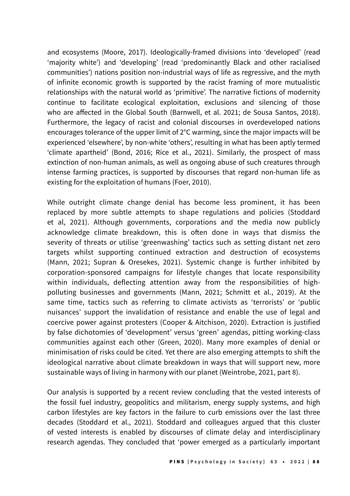and ecosystems (Moore, 2017). Ideologically-framed divisions into 'developed' (read 'majority white') and 'developing' (read 'predominantly Black and other racialised communities') nations position non-industrial ways of life as regressive, and the myth of infinite economic growth is supported by the racist framing of more mutualistic relationships with the natural world as 'primitive'. The narrative fictions of modernity continue to facilitate ecological exploitation, exclusions and silencing of those who are affected in the Global South (Barnwell, et al. 2021; de Sousa Santos, 2018). Furthermore, the legacy of racist and colonial discourses in overdeveloped nations encourages tolerance of the upper limit of 2°C warming, since the major impacts will be experienced 'elsewhere', by non-white 'others', resulting in what has been aptly termed 'climate apartheid' (Bond, 2016; Rice et al., 2021). Similarly, the prospect of mass extinction of non-human animals, as well as ongoing abuse of such creatures through intense farming practices, is supported by discourses that regard non-human life as existing for the exploitation of humans (Foer, 2010).

While outright climate change denial has become less prominent, it has been replaced by more subtle attempts to shape regulations and policies (Stoddard et al, 2021). Although governments, corporations and the media now publicly acknowledge climate breakdown, this is often done in ways that dismiss the severity of threats or utilise 'greenwashing' tactics such as setting distant net zero targets whilst supporting continued extraction and destruction of ecosystems (Mann, 2021; Supran & Oresekes, 2021). Systemic change is further inhibited by corporation-sponsored campaigns for lifestyle changes that locate responsibility within individuals, deflecting attention away from the responsibilities of highpolluting businesses and governments (Mann, 2021; Schmitt et al., 2019). At the same time, tactics such as referring to climate activists as 'terrorists' or 'public nuisances' support the invalidation of resistance and enable the use of legal and coercive power against protesters (Cooper & Aitchison, 2020). Extraction is justified by false dichotomies of 'development' versus 'green' agendas, pitting working-class communities against each other (Green, 2020). Many more examples of denial or minimisation of risks could be cited. Yet there are also emerging attempts to shift the ideological narrative about climate breakdown in ways that will support new, more sustainable ways of living in harmony with our planet (Weintrobe, 2021, part 8).

Our analysis is supported by a recent review concluding that the vested interests of the fossil fuel industry, geopolitics and militarism, energy supply systems, and high carbon lifestyles are key factors in the failure to curb emissions over the last three decades (Stoddard et al., 2021). Stoddard and colleagues argued that this cluster of vested interests is enabled by discourses of climate delay and interdisciplinary research agendas. They concluded that 'power emerged as a particularly important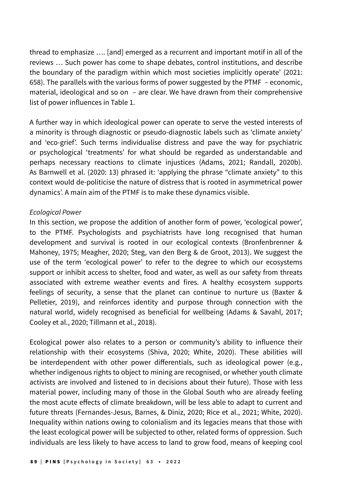thread to emphasize …. [and] emerged as a recurrent and important motif in all of the reviews … Such power has come to shape debates, control institutions, and describe the boundary of the paradigm within which most societies implicitly operate' (2021: 658). The parallels with the various forms of power suggested by the PTMF – economic, material, ideological and so on – are clear. We have drawn from their comprehensive list of power influences in Table 1.

A further way in which ideological power can operate to serve the vested interests of a minority is through diagnostic or pseudo-diagnostic labels such as 'climate anxiety' and 'eco-grief'. Such terms individualise distress and pave the way for psychiatric or psychological 'treatments' for what should be regarded as understandable and perhaps necessary reactions to climate injustices (Adams, 2021; Randall, 2020b). As Barnwell et al. (2020: 13) phrased it: 'applying the phrase "climate anxiety" to this context would de-politicise the nature of distress that is rooted in asymmetrical power dynamics'. A main aim of the PTMF is to make these dynamics visible.

#### Ecological Power

In this section, we propose the addition of another form of power, 'ecological power', to the PTMF. Psychologists and psychiatrists have long recognised that human development and survival is rooted in our ecological contexts (Bronfenbrenner & Mahoney, 1975; Meagher, 2020; Steg, van den Berg & de Groot, 2013). We suggest the use of the term 'ecological power' to refer to the degree to which our ecosystems support or inhibit access to shelter, food and water, as well as our safety from threats associated with extreme weather events and fires. A healthy ecosystem supports feelings of security, a sense that the planet can continue to nurture us (Baxter & Pelletier, 2019), and reinforces identity and purpose through connection with the natural world, widely recognised as beneficial for wellbeing (Adams & Savahl, 2017; Cooley et al., 2020; Tillmann et al., 2018).

Ecological power also relates to a person or community's ability to influence their relationship with their ecosystems (Shiva, 2020; White, 2020). These abilities will be interdependent with other power differentials, such as ideological power (e.g., whether indigenous rights to object to mining are recognised, or whether youth climate activists are involved and listened to in decisions about their future). Those with less material power, including many of those in the Global South who are already feeling the most acute effects of climate breakdown, will be less able to adapt to current and future threats (Fernandes-Jesus, Barnes, & Diniz, 2020; Rice et al., 2021; White, 2020). Inequality within nations owing to colonialism and its legacies means that those with the least ecological power will be subjected to other, related forms of oppression. Such individuals are less likely to have access to land to grow food, means of keeping cool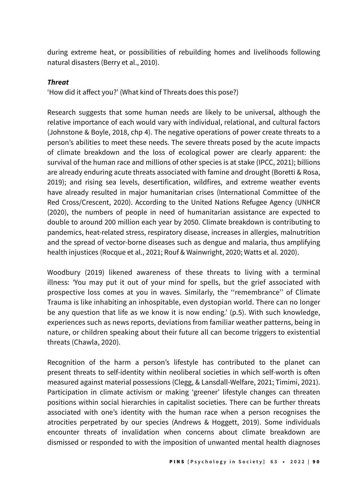during extreme heat, or possibilities of rebuilding homes and livelihoods following natural disasters (Berry et al., 2010).

## *Threat*

'How did it affect you?' (What kind of Threats does this pose?)

Research suggests that some human needs are likely to be universal, although the relative importance of each would vary with individual, relational, and cultural factors (Johnstone & Boyle, 2018, chp 4). The negative operations of power create threats to a person's abilities to meet these needs. The severe threats posed by the acute impacts of climate breakdown and the loss of ecological power are clearly apparent: the survival of the human race and millions of other species is at stake (IPCC, 2021); billions are already enduring acute threats associated with famine and drought (Boretti & Rosa, 2019); and rising sea levels, desertification, wildfires, and extreme weather events have already resulted in major humanitarian crises (International Committee of the Red Cross/Crescent, 2020). According to the United Nations Refugee Agency (UNHCR (2020), the numbers of people in need of humanitarian assistance are expected to double to around 200 million each year by 2050. Climate breakdown is contributing to pandemics, heat-related stress, respiratory disease, increases in allergies, malnutrition and the spread of vector-borne diseases such as dengue and malaria, thus amplifying health injustices (Rocque et al., 2021; Rouf & Wainwright, 2020; Watts et al. 2020).

Woodbury (2019) likened awareness of these threats to living with a terminal illness: *'*You may put it out of your mind for spells, but the grief associated with prospective loss comes at you in waves. Similarly, the ''remembrance'' of Climate Trauma is like inhabiting an inhospitable, even dystopian world. There can no longer be any question that life as we know it is now ending.' (p.5). With such knowledge, experiences such as news reports, deviations from familiar weather patterns, being in nature, or children speaking about their future all can become triggers to existential threats (Chawla, 2020)*.*

Recognition of the harm a person's lifestyle has contributed to the planet can present threats to self-identity within neoliberal societies in which self-worth is often measured against material possessions (Clegg, & Lansdall-Welfare, 2021; Timimi, 2021). Participation in climate activism or making 'greener' lifestyle changes can threaten positions within social hierarchies in capitalist societies. There can be further threats associated with one's identity with the human race when a person recognises the atrocities perpetrated by our species (Andrews & Hoggett, 2019). Some individuals encounter threats of invalidation when concerns about climate breakdown are dismissed or responded to with the imposition of unwanted mental health diagnoses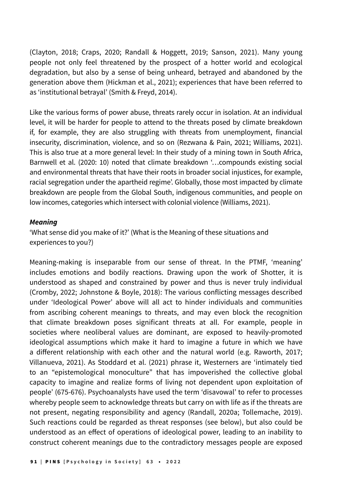(Clayton, 2018; Craps, 2020; Randall & Hoggett, 2019; Sanson, 2021). Many young people not only feel threatened by the prospect of a hotter world and ecological degradation, but also by a sense of being unheard, betrayed and abandoned by the generation above them (Hickman et al., 2021); experiences that have been referred to as 'institutional betrayal' (Smith & Freyd, 2014).

Like the various forms of power abuse, threats rarely occur in isolation. At an individual level, it will be harder for people to attend to the threats posed by climate breakdown if, for example, they are also struggling with threats from unemployment, financial insecurity, discrimination, violence, and so on (Rezwana & Pain, 2021; Williams, 2021). This is also true at a more general level: In their study of a mining town in South Africa, Barnwell et al. (2020: 10) noted that climate breakdown '…compounds existing social and environmental threats that have their roots in broader social injustices, for example, racial segregation under the apartheid regime'. Globally, those most impacted by climate breakdown are people from the Global South, indigenous communities, and people on low incomes, categories which intersect with colonial violence (Williams, 2021).

#### *Meaning*

'What sense did you make of it?' (What is the Meaning of these situations and experiences to you?)

Meaning-making is inseparable from our sense of threat. In the PTMF, 'meaning' includes emotions and bodily reactions. Drawing upon the work of Shotter, it is understood as shaped and constrained by power and thus is never truly individual (Cromby, 2022; Johnstone & Boyle, 2018): The various conflicting messages described under 'Ideological Power' above will all act to hinder individuals and communities from ascribing coherent meanings to threats, and may even block the recognition that climate breakdown poses significant threats at all. For example, people in societies where neoliberal values are dominant, are exposed to heavily-promoted ideological assumptions which make it hard to imagine a future in which we have a different relationship with each other and the natural world (e.g. Raworth, 2017; Villanueva, 2021). As Stoddard et al. (2021) phrase it, Westerners are 'intimately tied to an "epistemological monoculture" that has impoverished the collective global capacity to imagine and realize forms of living not dependent upon exploitation of people' (675-676). Psychoanalysts have used the term 'disavowal' to refer to processes whereby people seem to acknowledge threats but carry on with life as if the threats are not present, negating responsibility and agency (Randall, 2020a; Tollemache, 2019). Such reactions could be regarded as threat responses (see below), but also could be understood as an effect of operations of ideological power, leading to an inability to construct coherent meanings due to the contradictory messages people are exposed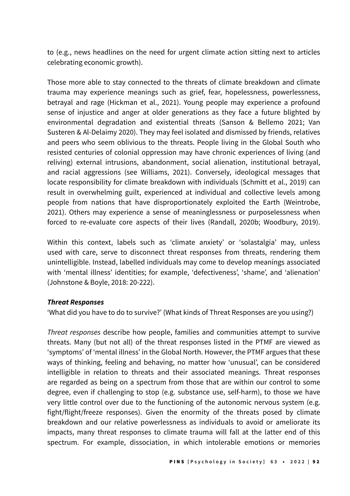to (e.g., news headlines on the need for urgent climate action sitting next to articles celebrating economic growth).

Those more able to stay connected to the threats of climate breakdown and climate trauma may experience meanings such as grief, fear, hopelessness, powerlessness, betrayal and rage (Hickman et al., 2021). Young people may experience a profound sense of injustice and anger at older generations as they face a future blighted by environmental degradation and existential threats (Sanson & Bellemo 2021; Van Susteren & Al-Delaimy 2020). They may feel isolated and dismissed by friends, relatives and peers who seem oblivious to the threats. People living in the Global South who resisted centuries of colonial oppression may have chronic experiences of living (and reliving) external intrusions, abandonment, social alienation, institutional betrayal, and racial aggressions (see Williams, 2021). Conversely, ideological messages that locate responsibility for climate breakdown with individuals (Schmitt et al., 2019) can result in overwhelming guilt, experienced at individual and collective levels among people from nations that have disproportionately exploited the Earth (Weintrobe, 2021). Others may experience a sense of meaninglessness or purposelessness when forced to re-evaluate core aspects of their lives (Randall, 2020b; Woodbury, 2019).

Within this context, labels such as 'climate anxiety' or 'solastalgia' may, unless used with care, serve to disconnect threat responses from threats, rendering them unintelligible. Instead, labelled individuals may come to develop meanings associated with 'mental illness' identities; for example, 'defectiveness', 'shame', and 'alienation' (Johnstone & Boyle, 2018: 20-222).

### *Threat Responses*

'What did you have to do to survive?' (What kinds of Threat Responses are you using?)

*Threat responses* describe how people, families and communities attempt to survive threats. Many (but not all) of the threat responses listed in the PTMF are viewed as 'symptoms' of 'mental illness' in the Global North. However, the PTMF argues that these ways of thinking, feeling and behaving, no matter how 'unusual', can be considered intelligible in relation to threats and their associated meanings. Threat responses are regarded as being on a spectrum from those that are within our control to some degree, even if challenging to stop (e.g. substance use, self-harm), to those we have very little control over due to the functioning of the autonomic nervous system (e.g. fight/flight/freeze responses). Given the enormity of the threats posed by climate breakdown and our relative powerlessness as individuals to avoid or ameliorate its impacts, many threat responses to climate trauma will fall at the latter end of this spectrum. For example, dissociation, in which intolerable emotions or memories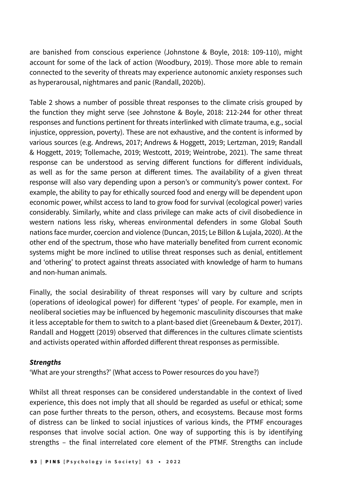are banished from conscious experience (Johnstone & Boyle, 2018: 109-110), might account for some of the lack of action (Woodbury, 2019). Those more able to remain connected to the severity of threats may experience autonomic anxiety responses such as hyperarousal, nightmares and panic (Randall, 2020b).

Table 2 shows a number of possible threat responses to the climate crisis grouped by the function they might serve (see Johnstone & Boyle, 2018: 212-244 for other threat responses and functions pertinent for threats interlinked with climate trauma, e.g., social injustice, oppression, poverty). These are not exhaustive, and the content is informed by various sources (e.g. Andrews, 2017; Andrews & Hoggett, 2019; Lertzman, 2019; Randall & Hoggett, 2019; Tollemache, 2019; Westcott, 2019; Weintrobe, 2021). The same threat response can be understood as serving different functions for different individuals, as well as for the same person at different times. The availability of a given threat response will also vary depending upon a person's or community's power context. For example, the ability to pay for ethically sourced food and energy will be dependent upon economic power, whilst access to land to grow food for survival (ecological power) varies considerably. Similarly, white and class privilege can make acts of civil disobedience in western nations less risky, whereas environmental defenders in some Global South nations face murder, coercion and violence (Duncan, 2015; Le Billon & Lujala, 2020). At the other end of the spectrum, those who have materially benefited from current economic systems might be more inclined to utilise threat responses such as denial, entitlement and 'othering' to protect against threats associated with knowledge of harm to humans and non-human animals.

Finally, the social desirability of threat responses will vary by culture and scripts (operations of ideological power) for different 'types' of people. For example, men in neoliberal societies may be influenced by hegemonic masculinity discourses that make it less acceptable for them to switch to a plant-based diet (Greenebaum & Dexter, 2017). Randall and Hoggett (2019) observed that differences in the cultures climate scientists and activists operated within afforded different threat responses as permissible.

### *Strengths*

'What are your strengths?' (What access to Power resources do you have?)

Whilst all threat responses can be considered understandable in the context of lived experience, this does not imply that all should be regarded as useful or ethical; some can pose further threats to the person, others, and ecosystems. Because most forms of distress can be linked to social injustices of various kinds, the PTMF encourages responses that involve social action. One way of supporting this is by identifying strengths – the final interrelated core element of the PTMF. Strengths can include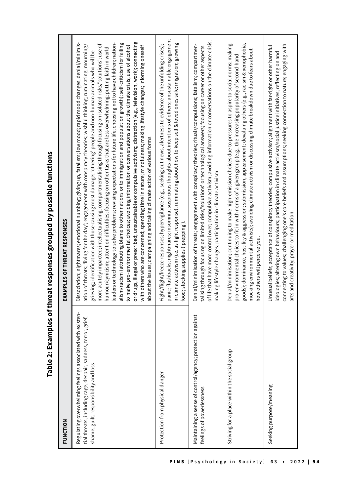Table 2: Examples of threat responses grouped by possible functions **Table 2: Examples of threat responses grouped by possible functions**

| FUNCTION                                                                                                                                                             | EXAMPLES OF THREAT RESPONSES                                                                                                                                                                                                                                                                                                                                                                                                                                                                                                                                                                                                                                                                                                                                                                                                                                                                                                                                                                                                                                                                                                                                                                                                                                                                              |
|----------------------------------------------------------------------------------------------------------------------------------------------------------------------|-----------------------------------------------------------------------------------------------------------------------------------------------------------------------------------------------------------------------------------------------------------------------------------------------------------------------------------------------------------------------------------------------------------------------------------------------------------------------------------------------------------------------------------------------------------------------------------------------------------------------------------------------------------------------------------------------------------------------------------------------------------------------------------------------------------------------------------------------------------------------------------------------------------------------------------------------------------------------------------------------------------------------------------------------------------------------------------------------------------------------------------------------------------------------------------------------------------------------------------------------------------------------------------------------------------|
| Regulating overwhelming feelings associated with existen-<br>tial threats, including rage, despair, sadness, terror, grief,<br>shame, guilt, responsibility and loss | or drugs, illegal or prescribed; unsustainable or compulsive activism;; distraction (e.g., television, work); connecting<br>leaders or technology to solve problems; revising expectations for future life; choosing not to have children; nation-<br>alism/racism (attributing blame to other nations or to immigration and population growth); self-criticism for failing<br>Dissociation; nightmares; emotional numbing; giving up, fatalism; low mood; rapid mood changes; denial/minimis-<br>more acutely impacted; intellectualising; compartmentalising through focusing on isolated risks/'solutions'; use of<br>to make pro-environmental choices; avoiding information or conversations about the climate crisis; use of alcohol<br>with others who are concerned; spending time in nature; mindfulness; making lifestyle changes; informing oneself<br>ation of threats; 'living for the day'; engagement with conspiracy theories; wishful thinking; ruminating; mourning,<br>humour/cynicism; attention difficulties; focusing on other tasks that are less overwhelming; putting faith in world<br>grieving, identification with those causing most damage; 'othering' people and non-human animals who will be<br>about the issues; campaigning and taking climate action of various forms |
| Protection from physical danger                                                                                                                                      | panic, flashbacks; nightmares; insomnia; suspicious thoughts about intentions of others; unsustainable engagement<br>in climate activism (i.e. as fight response); ruminating about how to keep self & loved ones safe; migration; growing<br>Fight/flight/freeze responses; hypervigilance (e.g., seeking out news, alertness to evidence of the unfolding crises);<br>food; stocking supplies ('prepping')                                                                                                                                                                                                                                                                                                                                                                                                                                                                                                                                                                                                                                                                                                                                                                                                                                                                                              |
| Maintaining a sense of control/agency; protection against<br>feelings of powerlessness                                                                               | of life that have more control over; compulsive activism; avoiding information or conversations on the climate crisis;<br>Denial/minimisation of threats; engagement with conspiracy theories; rituals/compulsions; fatalism; compartmen-<br>talising through focusing on limited risks/'solutions' or technological answers; focusing on career or other aspects<br>making lifestyle changes; participation in climate activism                                                                                                                                                                                                                                                                                                                                                                                                                                                                                                                                                                                                                                                                                                                                                                                                                                                                          |
| Striving for a place within the social group                                                                                                                         | goods); dominance, hostility & aggression; submission, appeasement; devaluing others (e.g., racism & xenophobia,<br>Denial/minimisation; continuing to make high-emission choices due to pressures to aspire to social norms; making<br>mocking environmental activists); avoiding climate activism or discussing climate breakdown due to fears about<br>pro-environmental choices to fit in with norms of a given group (e.g., the increasing popularity of second-hand<br>how others will perceive you.                                                                                                                                                                                                                                                                                                                                                                                                                                                                                                                                                                                                                                                                                                                                                                                                |
| Seeking purpose/meaning                                                                                                                                              | connecting to values; challenging one's core beliefs and assumptions; seeking connection to nature; engaging with<br>Unusual beliefs; acceptance of conspiracy theories; compulsive activism; alignment with far-right or other harmful<br>ideologies; altering own behaviours; participation in climate activism/social justice initiatives; reflecting on and<br>arts and creativity; prayer or meditation.                                                                                                                                                                                                                                                                                                                                                                                                                                                                                                                                                                                                                                                                                                                                                                                                                                                                                             |
|                                                                                                                                                                      |                                                                                                                                                                                                                                                                                                                                                                                                                                                                                                                                                                                                                                                                                                                                                                                                                                                                                                                                                                                                                                                                                                                                                                                                                                                                                                           |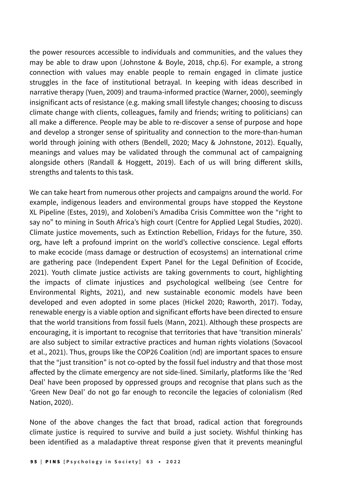the power resources accessible to individuals and communities, and the values they may be able to draw upon (Johnstone & Boyle, 2018, chp.6). For example, a strong connection with values may enable people to remain engaged in climate justice struggles in the face of institutional betrayal. In keeping with ideas described in narrative therapy (Yuen, 2009) and trauma-informed practice (Warner, 2000), seemingly insignificant acts of resistance (e.g. making small lifestyle changes; choosing to discuss climate change with clients, colleagues, family and friends; writing to politicians) can all make a difference. People may be able to re-discover a sense of purpose and hope and develop a stronger sense of spirituality and connection to the more-than-human world through joining with others (Bendell, 2020; Macy & Johnstone, 2012). Equally, meanings and values may be validated through the communal act of campaigning alongside others (Randall & Hoggett, 2019). Each of us will bring different skills, strengths and talents to this task.

We can take heart from numerous other projects and campaigns around the world. For example, indigenous leaders and environmental groups have stopped the Keystone XL Pipeline (Estes, 2019), and Xolobeni's Amadiba Crisis Committee won the "right to say no" to mining in South Africa's high court (Centre for Applied Legal Studies, 2020). Climate justice movements, such as Extinction Rebellion, Fridays for the future, 350. org, have left a profound imprint on the world's collective conscience. Legal efforts to make ecocide (mass damage or destruction of ecosystems) an international crime are gathering pace (Independent Expert Panel for the Legal Definition of Ecocide, 2021). Youth climate justice activists are taking governments to court, highlighting the impacts of climate injustices and psychological wellbeing (see Centre for Environmental Rights, 2021), and new sustainable economic models have been developed and even adopted in some places (Hickel 2020; Raworth, 2017). Today, renewable energy is a viable option and significant efforts have been directed to ensure that the world transitions from fossil fuels (Mann, 2021). Although these prospects are encouraging, it is important to recognise that territories that have 'transition minerals' are also subject to similar extractive practices and human rights violations (Sovacool et al., 2021). Thus, groups like the COP26 Coalition (nd) are important spaces to ensure that the "just transition" is not co-opted by the fossil fuel industry and that those most affected by the climate emergency are not side-lined. Similarly, platforms like the 'Red Deal' have been proposed by oppressed groups and recognise that plans such as the 'Green New Deal' do not go far enough to reconcile the legacies of colonialism (Red Nation, 2020).

None of the above changes the fact that broad, radical action that foregrounds climate justice is required to survive and build a just society. Wishful thinking has been identified as a maladaptive threat response given that it prevents meaningful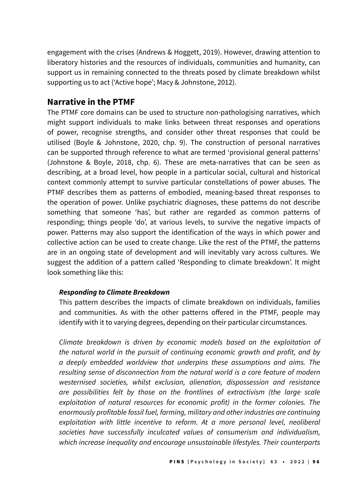engagement with the crises (Andrews & Hoggett, 2019). However, drawing attention to liberatory histories and the resources of individuals, communities and humanity, can support us in remaining connected to the threats posed by climate breakdown whilst supporting us to act ('Active hope'; Macy & Johnstone, 2012).

## **Narrative in the PTMF**

The PTMF core domains can be used to structure non-pathologising narratives, which might support individuals to make links between threat responses and operations of power, recognise strengths, and consider other threat responses that could be utilised (Boyle & Johnstone, 2020, chp. 9). The construction of personal narratives can be supported through reference to what are termed 'provisional general patterns' (Johnstone & Boyle, 2018, chp. 6). These are meta-narratives that can be seen as describing, at a broad level, how people in a particular social, cultural and historical context commonly attempt to survive particular constellations of power abuses. The PTMF describes them as patterns of embodied, meaning-based threat responses to the operation of power. Unlike psychiatric diagnoses, these patterns do not describe something that someone 'has', but rather are regarded as common patterns of responding; things people 'do', at various levels, to survive the negative impacts of power. Patterns may also support the identification of the ways in which power and collective action can be used to create change. Like the rest of the PTMF, the patterns are in an ongoing state of development and will inevitably vary across cultures. We suggest the addition of a pattern called 'Responding to climate breakdown'. It might look something like this:

### *Responding to Climate Breakdown*

This pattern describes the impacts of climate breakdown on individuals, families and communities. As with the other patterns offered in the PTMF, people may identify with it to varying degrees, depending on their particular circumstances.

Climate breakdown is driven by economic models based on the exploitation of the natural world in the pursuit of continuing economic growth and profit, and by a deeply embedded worldview that underpins these assumptions and aims. The resulting sense of disconnection from the natural world is a core feature of modern westernised societies, whilst exclusion, alienation, dispossession and resistance are possibilities felt by those on the frontlines of extractivism (the large scale exploitation of natural resources for economic profit) in the former colonies. The enormously profitable fossil fuel, farming, military and other industries are continuing exploitation with little incentive to reform. At a more personal level, neoliberal societies have successfully inculcated values of consumerism and individualism, which increase inequality and encourage unsustainable lifestyles. Their counterparts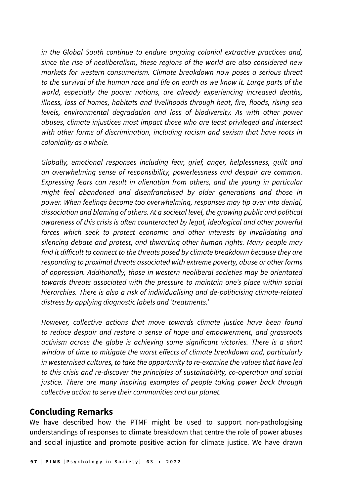in the Global South continue to endure ongoing colonial extractive practices and, since the rise of neoliberalism, these regions of the world are also considered new markets for western consumerism. Climate breakdown now poses a serious threat to the survival of the human race and life on earth as we know it. Large parts of the world, especially the poorer nations, are already experiencing increased deaths, illness, loss of homes, habitats and livelihoods through heat, fire, floods, rising sea levels, environmental degradation and loss of biodiversity. As with other power abuses, climate injustices most impact those who are least privileged and intersect with other forms of discrimination, including racism and sexism that have roots in *coloniality as a whole.*

Globally, emotional responses including fear, grief, anger, helplessness, guilt and an overwhelming sense of responsibility, powerlessness and despair are common. Expressing fears can result in alienation from others, and the young in particular might feel abandoned and disenfranchised by older generations and those in power. When feelings become too overwhelming, responses may tip over into denial, dissociation and blaming of others. At a societal level, the growing public and political awareness of this crisis is often counteracted by legal, ideological and other powerful forces which seek to protect economic and other interests by invalidating and silencing debate and protest, and thwarting other human rights. Many people may find it difficult to connect to the threats posed by climate breakdown because they are responding to proximal threats associated with extreme poverty, abuse or other forms of oppression. Additionally, those in western neoliberal societies may be orientated towards threats associated with the pressure to maintain one's place within social hierarchies. There is also a risk of individualising and de-politicising climate-related distress by applying diagnostic labels and 'treatments.'

However, collective actions that move towards climate justice have been found to reduce despair and restore a sense of hope and empowerment, and grassroots activism across the globe is achieving some significant victories. There is a short window of time to mitigate the worst effects of climate breakdown and, particularly in westernised cultures, to take the opportunity to re-examine the values that have led to this crisis and re-discover the principles of sustainability, co-operation and social justice. There are many inspiring examples of people taking power back through collective action to serve their communities and our planet.

## **Concluding Remarks**

We have described how the PTMF might be used to support non-pathologising understandings of responses to climate breakdown that centre the role of power abuses and social injustice and promote positive action for climate justice. We have drawn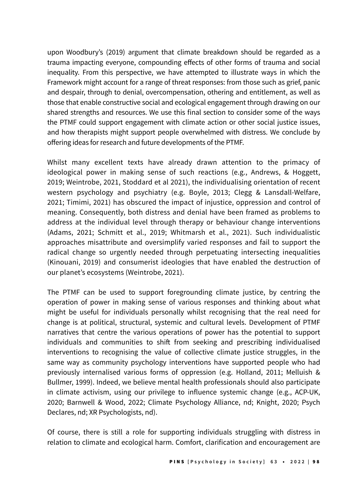upon Woodbury's (2019) argument that climate breakdown should be regarded as a trauma impacting everyone, compounding effects of other forms of trauma and social inequality. From this perspective, we have attempted to illustrate ways in which the Framework might account for a range of threat responses: from those such as grief, panic and despair, through to denial, overcompensation, othering and entitlement, as well as those that enable constructive social and ecological engagement through drawing on our shared strengths and resources. We use this final section to consider some of the ways the PTMF could support engagement with climate action or other social justice issues, and how therapists might support people overwhelmed with distress. We conclude by offering ideas for research and future developments of the PTMF.

Whilst many excellent texts have already drawn attention to the primacy of ideological power in making sense of such reactions (e.g., Andrews, & Hoggett, 2019; Weintrobe, 2021, Stoddard et al 2021), the individualising orientation of recent western psychology and psychiatry (e.g. Boyle, 2013; Clegg & Lansdall-Welfare, 2021; Timimi, 2021) has obscured the impact of injustice, oppression and control of meaning. Consequently, both distress and denial have been framed as problems to address at the individual level through therapy or behaviour change interventions (Adams, 2021; Schmitt et al., 2019; Whitmarsh et al., 2021). Such individualistic approaches misattribute and oversimplify varied responses and fail to support the radical change so urgently needed through perpetuating intersecting inequalities (Kinouani, 2019) and consumerist ideologies that have enabled the destruction of our planet's ecosystems (Weintrobe, 2021).

The PTMF can be used to support foregrounding climate justice, by centring the operation of power in making sense of various responses and thinking about what might be useful for individuals personally whilst recognising that the real need for change is at political, structural, systemic and cultural levels. Development of PTMF narratives that centre the various operations of power has the potential to support individuals and communities to shift from seeking and prescribing individualised interventions to recognising the value of collective climate justice struggles, in the same way as community psychology interventions have supported people who had previously internalised various forms of oppression (e.g. Holland, 2011; Melluish & Bullmer, 1999). Indeed, we believe mental health professionals should also participate in climate activism, using our privilege to influence systemic change (e.g., ACP-UK, 2020; Barnwell & Wood, 2022; Climate Psychology Alliance, nd; Knight, 2020; Psych Declares, nd; XR Psychologists, nd).

Of course, there is still a role for supporting individuals struggling with distress in relation to climate and ecological harm. Comfort, clarification and encouragement are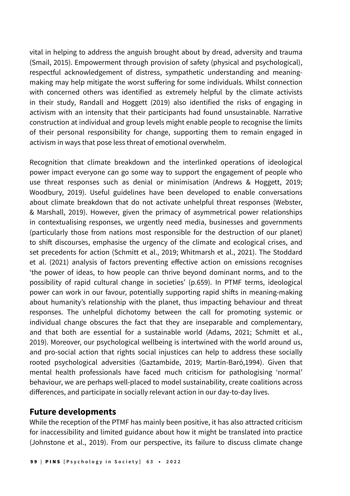vital in helping to address the anguish brought about by dread, adversity and trauma (Smail, 2015). Empowerment through provision of safety (physical and psychological), respectful acknowledgement of distress, sympathetic understanding and meaningmaking may help mitigate the worst suffering for some individuals. Whilst connection with concerned others was identified as extremely helpful by the climate activists in their study, Randall and Hoggett (2019) also identified the risks of engaging in activism with an intensity that their participants had found unsustainable. Narrative construction at individual and group levels might enable people to recognise the limits of their personal responsibility for change, supporting them to remain engaged in activism in ways that pose less threat of emotional overwhelm.

Recognition that climate breakdown and the interlinked operations of ideological power impact everyone can go some way to support the engagement of people who use threat responses such as denial or minimisation (Andrews & Hoggett, 2019; Woodbury, 2019). Useful guidelines have been developed to enable conversations about climate breakdown that do not activate unhelpful threat responses (Webster, & Marshall, 2019). However, given the primacy of asymmetrical power relationships in contextualising responses, we urgently need media, businesses and governments (particularly those from nations most responsible for the destruction of our planet) to shift discourses, emphasise the urgency of the climate and ecological crises, and set precedents for action (Schmitt et al., 2019; Whitmarsh et al., 2021). The Stoddard et al. (2021) analysis of factors preventing effective action on emissions recognises 'the power of ideas, to how people can thrive beyond dominant norms, and to the possibility of rapid cultural change in societies' (p.659). In PTMF terms, ideological power can work in our favour, potentially supporting rapid shifts in meaning-making about humanity's relationship with the planet, thus impacting behaviour and threat responses. The unhelpful dichotomy between the call for promoting systemic or individual change obscures the fact that they are inseparable and complementary, and that both are essential for a sustainable world (Adams, 2021; Schmitt et al., 2019). Moreover, our psychological wellbeing is intertwined with the world around us, and pro-social action that rights social injustices can help to address these socially rooted psychological adversities (Gaztambide, 2019; Martín-Baró,1994). Given that mental health professionals have faced much criticism for pathologising 'normal' behaviour, we are perhaps well-placed to model sustainability, create coalitions across differences, and participate in socially relevant action in our day-to-day lives.

## **Future developments**

While the reception of the PTMF has mainly been positive, it has also attracted criticism for inaccessibility and limited guidance about how it might be translated into practice (Johnstone et al., 2019). From our perspective, its failure to discuss climate change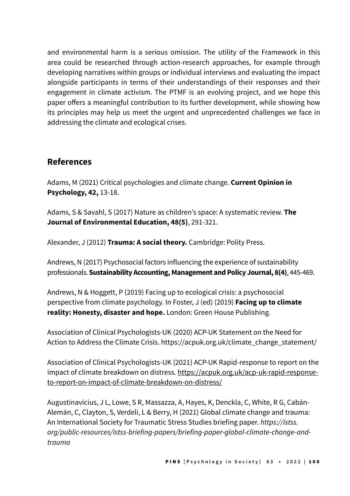and environmental harm is a serious omission. The utility of the Framework in this area could be researched through action-research approaches, for example through developing narratives within groups or individual interviews and evaluating the impact alongside participants in terms of their understandings of their responses and their engagement in climate activism. The PTMF is an evolving project, and we hope this paper offers a meaningful contribution to its further development, while showing how its principles may help us meet the urgent and unprecedented challenges we face in addressing the climate and ecological crises.

## **References**

Adams, M (2021) Critical psychologies and climate change. **Current Opinion in Psychology, 42,** 13-18.

Adams, S & Savahl, S (2017) Nature as children's space: A systematic review. **The Journal of Environmental Education, 48(5)**, 291-321.

Alexander, J (2012) **Trauma: A social theory.** Cambridge: Polity Press.

Andrews, N (2017) Psychosocial factors influencing the experience of sustainability professionals. **Sustainability Accounting, Management and Policy Journal, 8(4)**, 445-469.

Andrews, N & Hoggett, P (2019) Facing up to ecological crisis: a psychosocial perspective from climate psychology. In Foster, J (ed) (2019) **Facing up to climate reality: Honesty, disaster and hope.** London: Green House Publishing.

Association of Clinical Psychologists-UK (2020) ACP-UK Statement on the Need for Action to Address the Climate Crisis. h[ttps://acpuk.org.uk/climate\\_change\\_statement/](https://acpuk.org.uk/climate_change_statement/)

Association of Clinical Psychologists-UK (2021) ACP-UK Rapid-response to report on the impact of climate breakdown on distress. [https://acpuk.org.uk/acp-uk-rapid-response](https://acpuk.org.uk/acp-uk-rapid-response-to-report-on-impact-of-climate-breakdown-on-distress/)[to-report-on-impact-of-climate-breakdown-on-distress/](https://acpuk.org.uk/acp-uk-rapid-response-to-report-on-impact-of-climate-breakdown-on-distress/)

Augustinavicius, J L, Lowe, S R, Massazza, A, Hayes, K, Denckla, C, White, R G, Cabán-Alemán, C, Clayton, S, Verdeli, L & Berry, H (2021) Global climate change and trauma: An International Society for Traumatic Stress Studies briefing paper. [https://istss.](https://istss.org/public-resources/istss-briefing-papers/briefing-paper-global-climate-change-and-trauma) [org/public-resources/istss-briefing-papers/briefing-paper-global-climate-change-and](https://istss.org/public-resources/istss-briefing-papers/briefing-paper-global-climate-change-and-trauma)[trauma](https://istss.org/public-resources/istss-briefing-papers/briefing-paper-global-climate-change-and-trauma)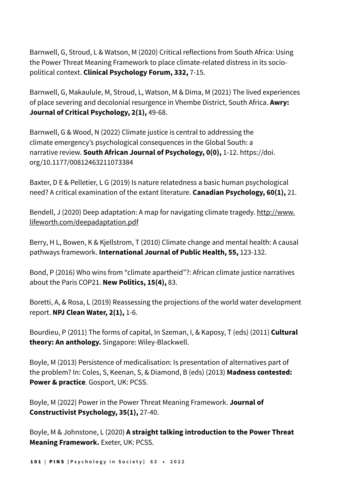Barnwell, G, Stroud, L & Watson, M (2020) Critical reflections from South Africa: Using the Power Threat Meaning Framework to place climate-related distress in its sociopolitical context. **Clinical Psychology Forum, 332,** 7-15.

Barnwell, G, Makaulule, M, Stroud, L, Watson, M & Dima, M (2021) The lived experiences of place severing and decolonial resurgence in Vhembe District, South Africa. **Awry: Journal of Critical Psychology, 2(1),** 49-68.

Barnwell, G & Wood, N (2022) Climate justice is central to addressing the climate emergency's psychological consequences in the Global South: a narrative review. **South African Journal of Psychology, 0(0),** 1-12. [https://doi.](https://doi.org/10.1177%2F00812463211073384) [org/10.1177/00812463211073384](https://doi.org/10.1177%2F00812463211073384)

Baxter, D E & Pelletier, L G (2019) Is nature relatedness a basic human psychological need? A critical examination of the extant literature. **Canadian Psychology, 60(1),** 21.

Bendell, J (2020) Deep adaptation: A map for navigating climate tragedy. [http://www.](http://www.lifeworth.com/deepadaptation.pdf) [lifeworth.com/deepadaptation.pdf](http://www.lifeworth.com/deepadaptation.pdf)

Berry, H L, Bowen, K & Kjellstrom, T (2010) Climate change and mental health: A causal pathways framework. **International Journal of Public Health, 55,** 123-132.

Bond, P (2016) Who wins from "climate apartheid"?: African climate justice narratives about the Paris COP21. **New Politics, 15(4),** 83.

Boretti, A, & Rosa, L (2019) Reassessing the projections of the world water development report. **NPJ Clean Water, 2(1),** 1-6.

Bourdieu, P (2011) The forms of capital, In Szeman, I, & Kaposy, T (eds) (2011) **Cultural theory: An anthology.** Singapore: Wiley-Blackwell.

Boyle, M (2013) Persistence of medicalisation: Is presentation of alternatives part of the problem? In: Coles, S, Keenan, S, & Diamond, B (eds) (2013) **Madness contested: Power & practice***.* Gosport, UK: PCSS.

Boyle, M (2022) Power in the Power Threat Meaning Framework. **Journal of Constructivist Psychology, 35(1),** 27-40.

Boyle, M & Johnstone, L (2020) **A straight talking introduction to the Power Threat Meaning Framework.** Exeter, UK: PCSS.

101 **|** PINS **[Psychology in Society] 63** • **2022**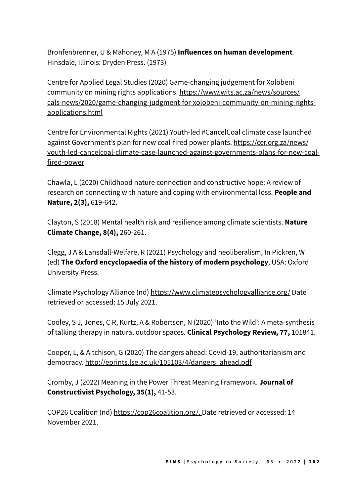Bronfenbrenner, U & Mahoney, M A (1975) **Influences on human development***.*  Hinsdale, Illinois: Dryden Press. (1973)

Centre for Applied Legal Studies (2020) Game-changing judgement for Xolobeni community on mining rights applications[. https://www.wits.ac.za/news/sources/](https://www.wits.ac.za/news/sources/cals-news/2020/game-changing-judgment-for-xolobeni-community-on-mining-rights-applications.html) [cals-news/2020/game-changing-judgment-for-xolobeni-community-on-mining-rights](https://www.wits.ac.za/news/sources/cals-news/2020/game-changing-judgment-for-xolobeni-community-on-mining-rights-applications.html)[applications.html](https://www.wits.ac.za/news/sources/cals-news/2020/game-changing-judgment-for-xolobeni-community-on-mining-rights-applications.html)

Centre for Environmental Rights (2021) Youth-led #CancelCoal climate case launched against Government's plan for new coal-fired power plants. [https://cer.org.za/news/](https://cer.org.za/news/youth-led-cancelcoal-climate-case-launched-against-governments-plans-for-new-coal-fired-power) [youth-led-cancelcoal-climate-case-launched-against-governments-plans-for-new-coal](https://cer.org.za/news/youth-led-cancelcoal-climate-case-launched-against-governments-plans-for-new-coal-fired-power)[fired-power](https://cer.org.za/news/youth-led-cancelcoal-climate-case-launched-against-governments-plans-for-new-coal-fired-power)

Chawla, L (2020) Childhood nature connection and constructive hope: A review of research on connecting with nature and coping with environmental loss. **People and Nature, 2(3),** 619-642.

Clayton, S (2018) Mental health risk and resilience among climate scientists. **Nature Climate Change, 8(4),** 260-261.

Clegg, J A & Lansdall-Welfare, R (2021) Psychology and neoliberalism, In Pickren, W (ed) **The Oxford encyclopaedia of the history of modern psychology**, USA: Oxford University Press.

Climate Psychology Alliance (nd) <https://www.climatepsychologyalliance.org/> Date retrieved or accessed: 15 July 2021.

Cooley, S J, Jones, C R, Kurtz, A & Robertson, N (2020) 'Into the Wild': A meta-synthesis of talking therapy in natural outdoor spaces. **Clinical Psychology Review, 77,** 101841.

Cooper, L, & Aitchison, G (2020) The dangers ahead: Covid-19, authoritarianism and democracy. [http://eprints.lse.ac.uk/105103/4/dangers\\_ahead.pdf](http://eprints.lse.ac.uk/105103/4/dangers_ahead.pdf)

Cromby, J (2022) Meaning in the Power Threat Meaning Framework. **Journal of Constructivist Psychology, 35(1),** 41-53.

COP26 Coalition (nd)<https://cop26coalition.org/>. Date retrieved or accessed: 14 November 2021.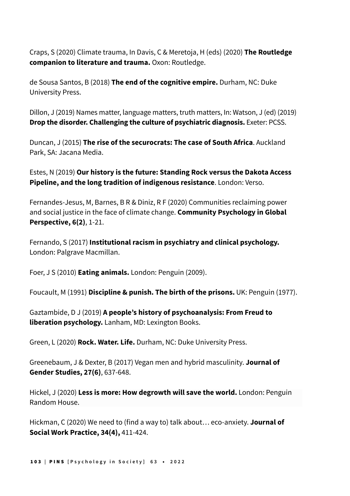Craps, S (2020) Climate trauma, In Davis, C & Meretoja, H (eds) (2020) **The Routledge companion to literature and trauma.** Oxon: Routledge.

de Sousa Santos, B (2018) **The end of the cognitive empire.** Durham, NC: Duke University Press.

Dillon, J (2019) Names matter, language matters, truth matters, In: Watson, J (ed) (2019) **Drop the disorder. Challenging the culture of psychiatric diagnosis.** Exeter: PCSS.

Duncan, J (2015) **The rise of the securocrats: The case of South Africa**. Auckland Park, SA: Jacana Media.

Estes, N (2019) **Our history is the future: Standing Rock versus the Dakota Access Pipeline, and the long tradition of indigenous resistance**. London: Verso.

Fernandes-Jesus, M, Barnes, B R & Diniz, R F (2020) Communities reclaiming power and social justice in the face of climate change. **Community Psychology in Global Perspective, 6(2)**, 1-21.

Fernando, S (2017) **Institutional racism in psychiatry and clinical psychology.** London: Palgrave Macmillan.

Foer, J S (2010) **Eating animals.** London: Penguin (2009).

Foucault, M (1991) **Discipline & punish. The birth of the prisons.** UK: Penguin (1977).

Gaztambide, D J (2019) **A people's history of psychoanalysis: From Freud to liberation psychology.** Lanham, MD: Lexington Books.

Green, L (2020) **Rock. Water. Life.** Durham, NC: Duke University Press.

Greenebaum, J & Dexter, B (2017) Vegan men and hybrid masculinity. **Journal of Gender Studies, 27(6)**, 637-648.

Hickel, J (2020) **Less is more: How degrowth will save the world.** London: Penguin Random House.

Hickman, C (2020) We need to (find a way to) talk about… eco-anxiety. **Journal of Social Work Practice, 34(4),** 411-424.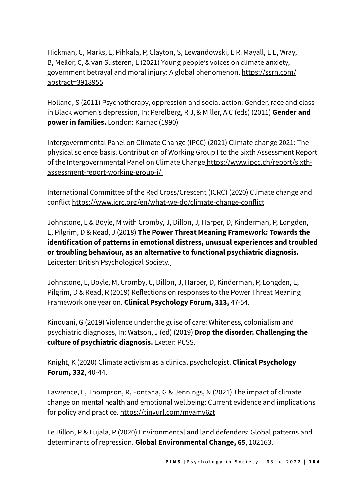Hickman, C, Marks, E, Pihkala, P, Clayton, S, Lewandowski, E R, Mayall, E E, Wray, B, Mellor, C, & van Susteren, L (2021) Young people's voices on climate anxiety, government betrayal and moral injury: A global phenomenon. [https://ssrn.com/](https://ssrn.com/abstract=3918955) [abstract=3918955](https://ssrn.com/abstract=3918955)

Holland, S (2011) Psychotherapy, oppression and social action: Gender, race and class in Black women's depression, In: Perelberg, R J, & Miller, A C (eds) (2011) **Gender and power in families.** London: Karnac (1990)

Intergovernmental Panel on Climate Change (IPCC) (2021) Climate change 2021: The physical science basis. Contribution of Working Group I to the Sixth Assessment Report of the Intergovernmental Panel on Climate Chang[e https://www.ipcc.ch/report/sixth](file:///Volumes/GoogleDrive/My%20Drive/CURRENT%20WORK/PINS/Issues/Issue-63_2022/PINS-63_Content/%20https://www.ipcc.ch/report/sixth-assessment-report-working-group-i/)[assessment-report-working-group-i/](file:///Volumes/GoogleDrive/My%20Drive/CURRENT%20WORK/PINS/Issues/Issue-63_2022/PINS-63_Content/%20https://www.ipcc.ch/report/sixth-assessment-report-working-group-i/)

International Committee of the Red Cross/Crescent (ICRC) (2020) Climate change and conflict<https://www.icrc.org/en/what-we-do/climate-change-conflict>

Johnstone, L & Boyle, M with Cromby, J, Dillon, J, Harper, D, Kinderman, P, Longden, E, Pilgrim, D & Read, J (2018) **The Power Threat Meaning Framework: Towards the identification of patterns in emotional distress, unusual experiences and troubled or troubling behaviour, as an alternative to functional psychiatric diagnosis.** Leicester: British Psychological Society.

Johnstone, L, Boyle, M, Cromby, C, Dillon, J, Harper, D, Kinderman, P, Longden, E, Pilgrim, D & Read, R (2019) Reflections on responses to the Power Threat Meaning Framework one year on. **Clinical Psychology Forum, 313,** 47-54.

Kinouani, G (2019) Violence under the guise of care: Whiteness, colonialism and psychiatric diagnoses, In: Watson, J (ed) (2019) **Drop the disorder. Challenging the culture of psychiatric diagnosis.** Exeter: PCSS.

Knight, K (2020) Climate activism as a clinical psychologist. **Clinical Psychology Forum, 332**, 40-44.

Lawrence, E, Thompson, R, Fontana, G & Jennings, N (2021) The impact of climate change on mental health and emotional wellbeing: Current evidence and implications for policy and practice. <https://tinyurl.com/mvamv6zt>

Le Billon, P & Lujala, P (2020) Environmental and land defenders: Global patterns and determinants of repression. **Global Environmental Change, 65**, 102163.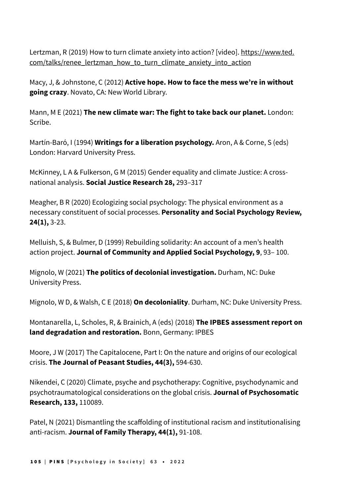Lertzman, R (2019) How to turn climate anxiety into action? [video]. [https://www.ted.](https://www.ted.com/talks/renee_lertzman_how_to_turn_climate_anxiety_into_action) [com/talks/renee\\_lertzman\\_how\\_to\\_turn\\_climate\\_anxiety\\_into\\_action](https://www.ted.com/talks/renee_lertzman_how_to_turn_climate_anxiety_into_action)

Macy, J, & Johnstone, C (2012) **Active hope. How to face the mess we're in without going crazy**. Novato, CA: New World Library.

Mann, M E (2021) **The new climate war: The fight to take back our planet.** London: Scribe.

Martín-Baró, I (1994) **Writings for a liberation psychology.** Aron, A & Corne, S (eds) London: Harvard University Press.

McKinney, L A & Fulkerson, G M (2015) Gender equality and climate Justice: A crossnational analysis. **Social Justice Research 28,** 293–317

Meagher, B R (2020) Ecologizing social psychology: The physical environment as a necessary constituent of social processes. **Personality and Social Psychology Review, 24(1),** 3-23.

Melluish, S, & Bulmer, D (1999) Rebuilding solidarity: An account of a men's health action project. **Journal of Community and Applied Social Psychology, 9**, 93– 100.

Mignolo, W (2021) **The politics of decolonial investigation.** Durham, NC: Duke University Press.

Mignolo, W D, & Walsh, C E (2018) **On decoloniality**. Durham, NC: Duke University Press.

Montanarella, L, Scholes, R, & Brainich, A (eds) (2018) **The IPBES assessment report on land degradation and restoration.** Bonn, Germany: IPBES

Moore, J W (2017) The Capitalocene, Part I: On the nature and origins of our ecological crisis. **The Journal of Peasant Studies, 44(3),** 594-630.

Nikendei, C (2020) Climate, psyche and psychotherapy: Cognitive, psychodynamic and psychotraumatological considerations on the global crisis. **Journal of Psychosomatic Research, 133,** 110089.

Patel, N (2021) Dismantling the scaffolding of institutional racism and institutionalising anti-racism. **Journal of Family Therapy, 44(1),** 91-108.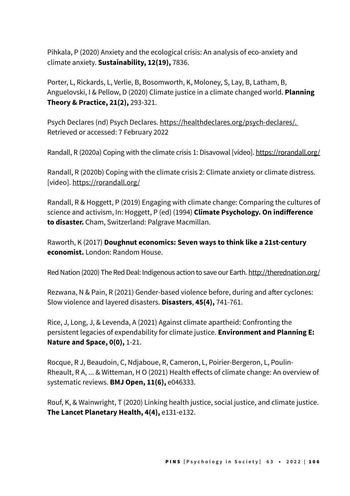Pihkala, P (2020) Anxiety and the ecological crisis: An analysis of eco-anxiety and climate anxiety. **Sustainability, 12(19),** 7836.

Porter, L, Rickards, L, Verlie, B, Bosomworth, K, Moloney, S, Lay, B, Latham, B, Anguelovski, I & Pellow, D (2020) Climate justice in a climate changed world. **Planning Theory & Practice, 21(2),** 293-321.

Psych Declares (nd) Psych Declares. [https://healthdeclares.org/psych-declares/.](https://healthdeclares.org/psych-declares/) Retrieved or accessed: 7 February 2022

Randall, R (2020a) Coping with the climate crisis 1: Disavowal [video]. <https://rorandall.org/>

Randall, R (2020b) Coping with the climate crisis 2: Climate anxiety or climate distress. [video]. <https://rorandall.org/>

Randall, R & Hoggett, P (2019) Engaging with climate change: Comparing the cultures of science and activism, In: Hoggett, P (ed) (1994) **Climate Psychology. On indifference to disaster.** Cham, Switzerland: Palgrave Macmillan.

Raworth, K (2017) **Doughnut economics: Seven ways to think like a 21st-century economist.** London: Random House.

Red Nation (2020) The Red Deal: Indigenous action to save our Earth.<http://therednation.org/>

Rezwana, N & Pain, R (2021) Gender-based violence before, during and after cyclones: Slow violence and layered disasters. **Disasters**, **45(4),** 741-761.

Rice, J, Long, J, & Levenda, A (2021) Against climate apartheid: Confronting the persistent legacies of expendability for climate justice. **Environment and Planning E: Nature and Space, 0(0),** 1-21.

Rocque, R J, Beaudoin, C, Ndjaboue, R, Cameron, L, Poirier-Bergeron, L, Poulin-Rheault, R A, ... & Witteman, H O (2021) Health effects of climate change: An overview of systematic reviews. **BMJ Open, 11(6),** e046333.

Rouf, K, & Wainwright, T (2020) Linking health justice, social justice, and climate justice. **The Lancet Planetary Health, 4(4),** e131-e132.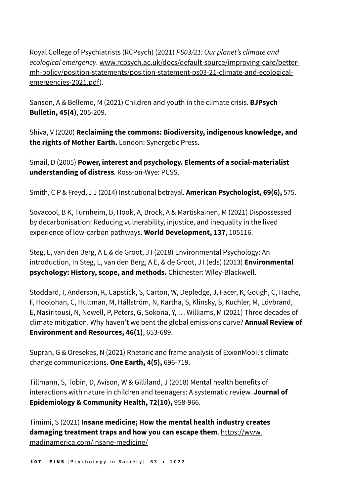Royal College of Psychiatrists (RCPsych) (2021) PS03/21: Our planet's climate and ecological emergency. [www.rcpsych.ac.uk/docs/default-source/improving-care/better](http://www.rcpsych.ac.uk/docs/default-source/improving-care/better-mh-policy/position-statements/position-statement-ps03-21-climate-and-ecological-emergencies-2021.pdf)[mh-policy/position-statements/position-statement-ps03-21-climate-and-ecological](http://www.rcpsych.ac.uk/docs/default-source/improving-care/better-mh-policy/position-statements/position-statement-ps03-21-climate-and-ecological-emergencies-2021.pdf)[emergencies-2021.pdf](http://www.rcpsych.ac.uk/docs/default-source/improving-care/better-mh-policy/position-statements/position-statement-ps03-21-climate-and-ecological-emergencies-2021.pdf)).

Sanson, A & Bellemo, M (2021) Children and youth in the climate crisis. **BJPsych Bulletin, 45(4)**, 205-209.

Shiva, V (2020) **Reclaiming the commons: Biodiversity, indigenous knowledge, and the rights of Mother Earth.** London: Synergetic Press.

Smail, D (2005) **Power, interest and psychology. Elements of a social-materialist understanding of distress***.* Ross-on-Wye: PCSS.

Smith, C P & Freyd, J J (2014) Institutional betrayal. **American Psychologist, 69(6),** 575.

Sovacool, B K, Turnheim, B, Hook, A, Brock, A & Martiskainen, M (2021) Dispossessed by decarbonisation: Reducing vulnerability, injustice, and inequality in the lived experience of low-carbon pathways. **World Development, 137**, 105116.

Steg, L, van den Berg, A E & de Groot, J I (2018) Environmental Psychology: An introduction, In Steg, L, van den Berg, A E, & de Groot, J I (eds) (2013) **Environmental psychology: History, scope, and methods.** Chichester: Wiley-Blackwell.

Stoddard, I, Anderson, K, Capstick, S, Carton, W, Depledge, J, Facer, K, Gough, C, Hache, F, Hoolohan, C, Hultman, M, Hällström, N, Kartha, S, Klinsky, S, Kuchler, M, Lövbrand, E, Nasiritousi, N, Newell, P, Peters, G, Sokona, Y, … Williams, M (2021) Three decades of climate mitigation. Why haven't we bent the global emissions curve? **Annual Review of Environment and Resources, 46(1)**, 653-689.

Supran, G & Oresekes, N (2021) Rhetoric and frame analysis of ExxonMobil's climate change communications. **One Earth, 4(5),** 696-719.

Tillmann, S, Tobin, D, Avison, W & Gilliland, J (2018) Mental health benefits of interactions with nature in children and teenagers: A systematic review. **Journal of Epidemiology & Community Health, 72(10),** 958-966.

Timimi, S (2021) **Insane medicine; How the mental health industry creates damaging treatment traps and how you can escape them**. [https://www.](https://www.madinamerica.com/insane-medicine/) [madinamerica.com/insane-medicine/](https://www.madinamerica.com/insane-medicine/)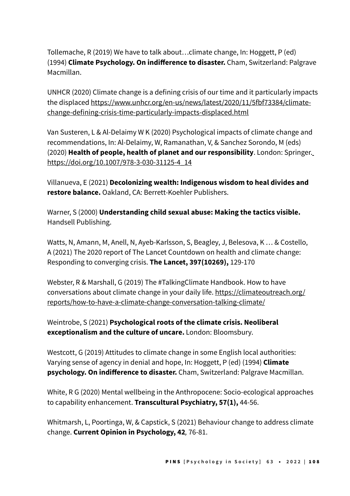Tollemache, R (2019) We have to talk about…climate change, In: Hoggett, P (ed) (1994) **Climate Psychology. On indifference to disaster.** Cham, Switzerland: Palgrave Macmillan.

UNHCR (2020) Climate change is a defining crisis of our time and it particularly impacts the displace[d https://www.unhcr.org/en-us/news/latest/2020/11/5fbf73384/climate](https://www.unhcr.org/en-us/news/latest/2020/11/5fbf73384/climate-change-defining-crisis-time-particularly-impacts-displaced.html)[change-defining-crisis-time-particularly-impacts-displaced.html](https://www.unhcr.org/en-us/news/latest/2020/11/5fbf73384/climate-change-defining-crisis-time-particularly-impacts-displaced.html)

Van Susteren, L & Al-Delaimy W K (2020) Psychological impacts of climate change and recommendations, In: Al-Delaimy, W, Ramanathan, V, & Sanchez Sorondo, M (eds) (2020) **Health of people, health of planet and our responsibility**. London: Springer. [https://doi.org/10.1007/978-3-030-31125-4\\_14](https://doi.org/10.1007/978-3-030-31125-4_14)

Villanueva, E (2021) **Decolonizing wealth: Indigenous wisdom to heal divides and restore balance.** Oakland, CA: Berrett-Koehler Publishers.

Warner, S (2000) **Understanding child sexual abuse: Making the tactics visible.** Handsell Publishing.

Watts, N, Amann, M, Anell, N, Ayeb-Karlsson, S, Beagley, J, Belesova, K … & Costello, A (2021) The 2020 report of The Lancet Countdown on health and climate change: Responding to converging crisis. **The Lancet, 397(10269),** 129-170

Webster, R & Marshall, G (2019) The #TalkingClimate Handbook. How to have conversations about climate change in your daily life. [https://climateoutreach.org/](https://climateoutreach.org/reports/how-to-have-a-climate-change-conversation-talking-climate/) [reports/how-to-have-a-climate-change-conversation-talking-climate/](https://climateoutreach.org/reports/how-to-have-a-climate-change-conversation-talking-climate/)

Weintrobe, S (2021) **Psychological roots of the climate crisis. Neoliberal exceptionalism and the culture of uncare.** London: Bloomsbury.

Westcott, G (2019) Attitudes to climate change in some English local authorities: Varying sense of agency in denial and hope, In: Hoggett, P (ed) (1994) **Climate psychology. On indifference to disaster.** Cham, Switzerland: Palgrave Macmillan.

White, R G (2020) Mental wellbeing in the Anthropocene: Socio-ecological approaches to capability enhancement. **Transcultural Psychiatry, 57(1),** 44-56.

Whitmarsh, L, Poortinga, W, & Capstick, S (2021) Behaviour change to address climate change. **Current Opinion in Psychology, 42***,* 76-81.